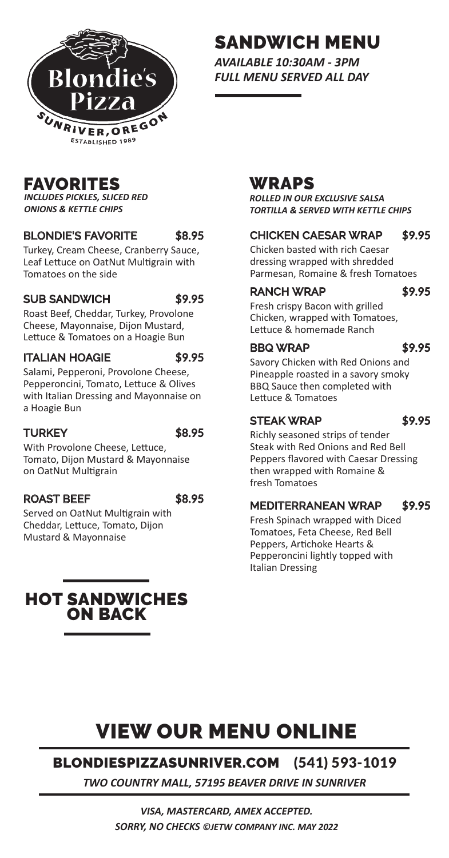

## SANDWICH MENU

*AVAILABLE 10:30AM - 3PM FULL MENU SERVED ALL DAY*

### FAVORITES

*INCLUDES PICKLES, SLICED RED ONIONS & KETTLE CHIPS*

### BLONDIE'S FAVORITE \$8.95

Turkey, Cream Cheese, Cranberry Sauce, Leaf Lettuce on OatNut Multigrain with Tomatoes on the side

### SUB SANDWICH \$9.95

Roast Beef, Cheddar, Turkey, Provolone Cheese, Mayonnaise, Dijon Mustard, Lettuce & Tomatoes on a Hoagie Bun

### ITALIAN HOAGIE \$9.95

Salami, Pepperoni, Provolone Cheese, Pepperoncini, Tomato, Lettuce & Olives with Italian Dressing and Mayonnaise on a Hoagie Bun

### TURKEY \$8.95

With Provolone Cheese, Lettuce, Tomato, Dijon Mustard & Mayonnaise on OatNut Multigrain

### ROAST BEEF \$8.95

Served on OatNut Multigrain with Cheddar, Lettuce, Tomato, Dijon Mustard & Mayonnaise

HOT SANDWICHES ON BACK

## WRAPS

*ROLLED IN OUR EXCLUSIVE SALSA TORTILLA & SERVED WITH KETTLE CHIPS*

### CHICKEN CAESAR WRAP \$9.95

Chicken basted with rich Caesar dressing wrapped with shredded Parmesan, Romaine & fresh Tomatoes

### RANCH WRAP \$9.95

Fresh crispy Bacon with grilled Chicken, wrapped with Tomatoes, Lettuce & homemade Ranch

### BBQ WRAP \$9.95

Savory Chicken with Red Onions and Pineapple roasted in a savory smoky BBQ Sauce then completed with Lettuce & Tomatoes

### STEAK WRAP \$9.95

Richly seasoned strips of tender Steak with Red Onions and Red Bell Peppers flavored with Caesar Dressing then wrapped with Romaine & fresh Tomatoes

### MEDITERRANEAN WRAP \$9.95

Fresh Spinach wrapped with Diced Tomatoes, Feta Cheese, Red Bell Peppers, Artichoke Hearts & Pepperoncini lightly topped with Italian Dressing

# VIEW OUR MENU ONLINE

### BLONDIESPIZZASUNRIVER.COM (541) 593-1019

*TWO COUNTRY MALL, 57195 BEAVER DRIVE IN SUNRIVER*